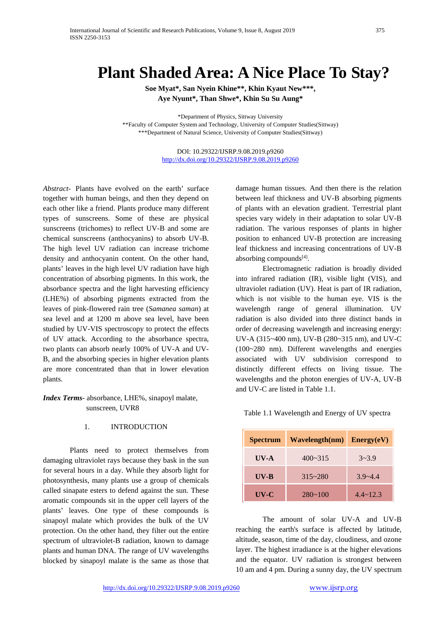# **Plant Shaded Area: A Nice Place To Stay?**

**Soe Myat\*, San Nyein Khine\*\*, Khin Kyaut New\*\*\*, Aye Nyunt\*, Than Shwe\*, Khin Su Su Aung\***

\*Department of Physics, Sittway University \*\*Faculty of Computer System and Technology, University of Computer Studies(Sittway) \*\*\*Department of Natural Science, University of Computer Studies(Sittway)

> DOI: 10.29322/IJSRP.9.08.2019.p9260 <http://dx.doi.org/10.29322/IJSRP.9.08.2019.p9260>

*Abstract*- Plants have evolved on the earth' surface together with human beings, and then they depend on each other like a friend. Plants produce many different types of sunscreens. Some of these are physical sunscreens (trichomes) to reflect UV-B and some are chemical sunscreens (anthocyanins) to absorb UV-B. The high level UV radiation can increase trichome density and anthocyanin content. On the other hand, plants' leaves in the high level UV radiation have high concentration of absorbing pigments. In this work, the absorbance spectra and the light harvesting efficiency (LHE%) of absorbing pigments extracted from the leaves of pink-flowered rain tree (*Samanea saman*) at sea level and at 1200 m above sea level, have been studied by UV-VIS spectroscopy to protect the effects of UV attack. According to the absorbance spectra, two plants can absorb nearly 100% of UV-A and UV-B, and the absorbing species in higher elevation plants are more concentrated than that in lower elevation plants.

*Index Terms*- absorbance, LHE%, sinapoyl malate, sunscreen, UVR8

#### 1. INTRODUCTION

Plants need to protect themselves from damaging ultraviolet rays because they bask in the sun for several hours in a day. While they absorb light for photosynthesis, many plants use a group of chemicals called sinapate esters to defend against the sun. These aromatic compounds sit in the upper cell layers of the plants' leaves. One type of these compounds is sinapoyl malate which provides the bulk of the UV protection. On the other hand, they filter out the entire spectrum of ultraviolet-B radiation, known to damage plants and human DNA. The range of UV wavelengths blocked by sinapoyl malate is the same as those that

damage [human tissues.](https://www.newscientist.com/article/dn21127-skin-sees-the-light-to-protect-against-sunshine) And then there is the relation between leaf thickness and UV-B absorbing pigments of plants with an elevation gradient. Terrestrial plant species vary widely in their adaptation to solar UV-B radiation. The various responses of plants in higher position to enhanced UV-B protection are increasing leaf thickness and increasing concentrations of UV-B absorbing compounds $[4]$ .

Electromagnetic radiation is broadly divided into infrared radiation (IR), visible light (VIS), and ultraviolet radiation (UV). Heat is part of IR radiation, which is not visible to the human eye. VIS is the wavelength range of general illumination. UV radiation is also divided into three distinct bands in order of decreasing wavelength and increasing energy: UV-A (315~400 nm), UV-B (280~315 nm), and UV-C (100~280 nm). Different wavelengths and energies associated with UV subdivision correspond to distinctly different effects on living tissue. The wavelengths and the photon energies of UV-A, UV-B and UV-C are listed in Table 1.1.

Table 1.1 Wavelength and Energy of UV spectra

| <b>Spectrum</b> | Wavelength(nm) | Energy(eV)        |
|-----------------|----------------|-------------------|
| $UV-A$          | $400 - 315$    | $3 - 3.9$         |
| $UV-B$          | $315 - 280$    | $3.9 - 4.4$       |
| $UV-C$          | $280 - 100$    | $4.4 \times 12.3$ |

The amount of solar UV-A and UV-B reaching the earth's surface is affected by latitude, altitude, season, time of the day, cloudiness, and ozone layer. The highest irradiance is at the higher elevations and the equator. UV radiation is strongest between 10 am and 4 pm. During a sunny day, the UV spectrum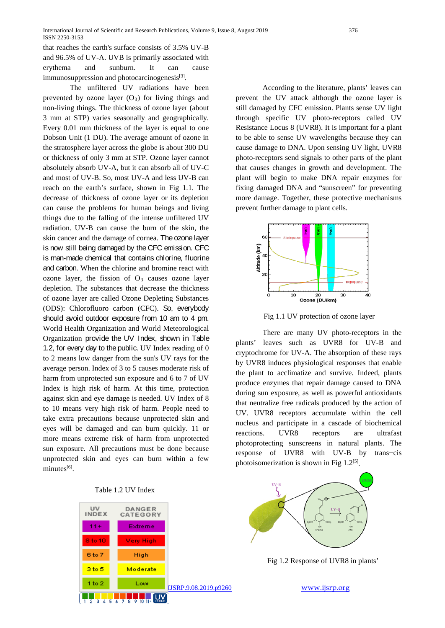that reaches the earth's surface consists of 3.5% UV-B and 96.5% of UV-A. UVB is primarily associated with erythema and sunburn. It can cause immunosuppression and photocarcinogenesis<sup>[3]</sup>.

The unfiltered UV radiations have been prevented by ozone layer  $(O_3)$  for living things and non-living things. The thickness of ozone layer (about 3 mm at STP) varies seasonally and geographically. Every 0.01 mm thickness of the layer is equal to one Dobson Unit (1 DU). The average amount of ozone in the stratosphere layer across the globe is about 300 DU or thickness of only 3 mm at STP. Ozone layer cannot absolutely absorb UV-A, but it can absorb all of UV-C and most of UV-B. So, most UV-A and less UV-B can reach on the earth's surface, shown in Fig 1.1. The decrease of thickness of ozone layer or its depletion can cause the problems for human beings and living things due to the falling of the intense unfiltered UV radiation. UV-B can cause the burn of the skin, the skin cancer and the damage of cornea. The ozone layer is now still being damaged by the CFC emission. CFC is man-made chemical that contains chlorine, fluorine and carbon. When the chlorine and bromine react with ozone layer, the fission of  $O<sub>3</sub>$  causes ozone layer depletion. The substances that decrease the thickness of ozone layer are called Ozone Depleting Substances (ODS): Chlorofluoro carbon (CFC). So, everybody should avoid outdoor exposure from 10 am to 4 pm. [World Health Organization](https://en.wikipedia.org/wiki/World_Health_Organization) and World [Meteorological](https://en.wikipedia.org/wiki/World_Meteorological_Organization)  [Organization](https://en.wikipedia.org/wiki/World_Meteorological_Organization) provide the UV Index, shown in Table 1.2, for every day to the public. UV Index reading of 0 to 2 means low danger from the sun's UV rays for the average person. Index of 3 to 5 causes moderate risk of harm from unprotected sun exposure and 6 to 7 of UV Index is high risk of harm. At this time, protection against skin and eye damage is needed. UV Index of 8 to 10 means very high risk of harm. People need to take extra precautions because unprotected skin and eyes will be damaged and can burn quickly. 11 or more means extreme risk of harm from unprotected sun exposure. All precautions must be done because unprotected skin and eyes can burn within a few minutes[6].

| Table 1.2 UV Index |  |  |  |
|--------------------|--|--|--|
|--------------------|--|--|--|



According to the literature, plants' leaves can prevent the UV attack although the ozone layer is still damaged by CFC emission. Plants sense UV light through specific UV photo-receptors called [UV](http://ursalighting.com/wavelengths-photoreceptors-absorb/)  [Resistance Locus 8 \(UVR8\).](http://ursalighting.com/wavelengths-photoreceptors-absorb/) It is important for a plant to be able to sense UV wavelengths because they can cause damage to DNA. Upon sensing UV light, UVR8 photo-receptors send signals to other parts of the plant that causes changes in growth and development. The plant will begin to make DNA repair enzymes for fixing damaged DNA and "sunscreen" for preventing more damage. Together, these protective mechanisms prevent further damage to plant cells.



Fig 1.1 UV protection of ozone layer

There are many UV photo-receptors in the plants' leaves such as UVR8 for UV-B and cryptochrome for UV-A. The absorption of these rays by UVR8 induces physiological responses that enable the plant to acclimatize and survive. Indeed, plants produce enzymes that repair damage caused to DNA during sun exposure, as well as powerful antioxidants that neutralize free radicals produced by the action of UV. UVR8 receptors accumulate within the cell nucleus and participate in a cascade of biochemical reactions. UVR8 receptors are ultrafast photoprotecting sunscreens in natural plants. The response of UVR8 with UV-B by trans−cis photoisomerization is shown in Fig  $1.2^{[5]}$ .



Fig 1.2 Response of UVR8 in plants'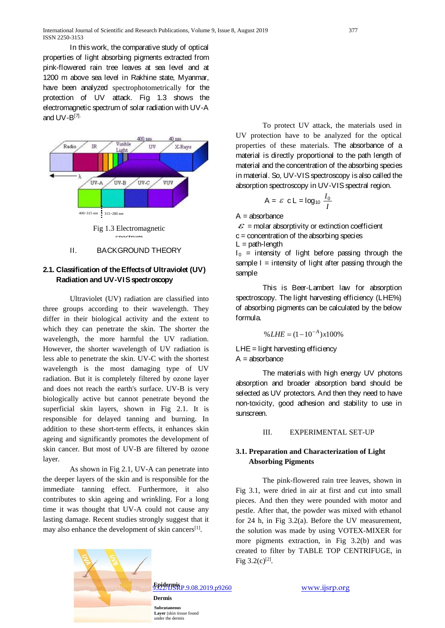In this work, the comparative study of optical properties of light absorbing pigments extracted from pink-flowered rain tree leaves at sea level and at 1200 m above sea level in Rakhine state, Myanmar, have been analyzed spectrophotometrically for the protection of UV attack. Fig 1.3 shows the electromagnetic spectrum of solar radiation with UV-A and  $UV-B^{[7]}$ .



Fig 1.3 Electromagnetic spectrum

#### II. BACKGROUND THEORY

### **2.1. Classification of the Effects of Ultraviolet (UV) Radiation and UV-VIS spectroscopy**

Ultraviolet (UV) radiation are classified into three groups according to their wavelength. They differ in their biological activity and the extent to which they can penetrate the skin. The shorter the wavelength, the more harmful the UV radiation. However, the shorter wavelength of UV radiation is less able to penetrate the skin. UV-C with the shortest wavelength is the most damaging type of UV radiation. But it is completely filtered by ozone layer and does not reach the earth's surface. UV-B is very biologically active but cannot penetrate beyond the superficial skin layers, shown in Fig 2.1. It is responsible for delayed tanning and burning. In addition to these short-term effects, it enhances skin ageing and significantly promotes the development of skin cancer. But most of UV-B are filtered by ozone layer.

As shown in Fig 2.1, UV-A can penetrate into the deeper layers of the skin and is responsible for the immediate tanning effect. Furthermore, it also contributes to skin ageing and wrinkling. For a long time it was thought that UV-A could not cause any lasting damage. Recent studies strongly suggest that it may also enhance the development of skin cancers<sup>[1]</sup>.

To protect UV attack, the materials used in UV protection have to be analyzed for the optical properties of these materials. The absorbance of a material is directly proportional to the path length of material and the concentration of the absorbing species in material. So, UV-VIS spectroscopy is also called the absorption spectroscopy in UV-VIS spectral region.

$$
A = \varepsilon \ c L = \log_{10} \frac{I_0}{I}
$$

 $A =$ absorbance

sample

 $\mathcal{E}$  = molar absorptivity or extinction coefficient c = concentration of the absorbing species  $L =$  path-length  $I_0$  = intensity of light before passing through the sample  $I =$  intensity of light after passing through the

This is Beer-Lambert law for absorption spectroscopy. The light harvesting efficiency (LHE%) of absorbing pigments can be calculated by the below formula.

$$
\% LHE = (1 - 10^{-A}) \times 100\%
$$

 $LHE =$  light harvesting efficiency  $A =$ absorbance

The materials with high energy UV photons absorption and broader absorption band should be selected as UV protectors. And then they need to have non-toxicity, good adhesion and stability to use in sunscreen.

#### III. EXPERIMENTAL SET-UP

#### **3.1. Preparation and Characterization of Light Absorbing Pigments**

The pink-flowered rain tree leaves, shown in Fig 3.1, were dried in air at first and cut into small pieces. And then they were pounded with motor and pestle. After that, the powder was mixed with ethanol for 24 h, in Fig 3.2(a). Before the UV measurement, the solution was made by using VOTEX-MIXER for more pigments extraction, in Fig 3.2(b) and was created to filter by TABLE TOP CENTRIFUGE, in Fig  $3.2(c)^{[2]}$ .



**Subcutaneous** Layer (skin tissue found under the dermis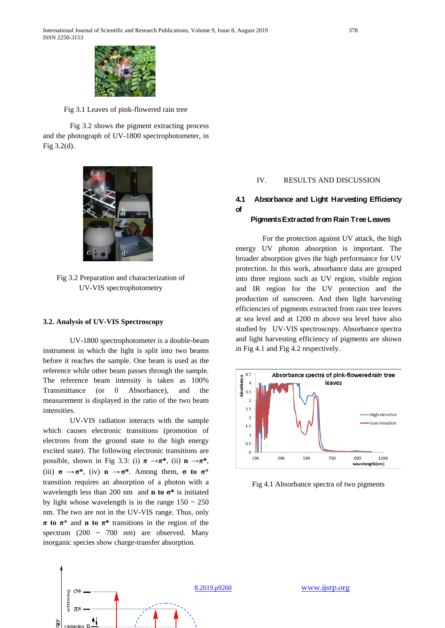

Fig 3.1 Leaves of pink-flowered rain tree

Fig 3.2 shows the pigment extracting process and the photograph of UV-1800 spectrophotometer, in Fig 3.2(d).



Fig 3.2 Preparation and characterization of UV-VIS spectrophotometry

## **3.2. Analysis of UV-VIS Spectroscopy d**

UV-1800 spectrophotometer is a double-beam instrument in which the light is split into two beams before it reaches the sample. One beam is used as the reference while other beam passes through the sample. The reference beam intensity is taken as 100% Transmittance (or 0 Absorbance), and the measurement is displayed in the ratio of the two beam intensities.

UV-VIS radiation interacts with the sample which causes electronic transitions (promotion of electrons from the ground state to the high energy excited state). The following electronic transitions are possible, shown in Fig 3.3: (i)  $\pi \rightarrow \pi^*$ , (ii)  $n \rightarrow \pi^*$ , (iii)  $\sigma \rightarrow \sigma^*$ , (iv)  $n \rightarrow \sigma^*$ . Among them,  $\sigma$  to  $\sigma^*$ transition requires an absorption of a photon with a wavelength less than 200 nm and **n to σ\*** is initiated by light whose wavelength is in the range  $150 \sim 250$ nm. The two are not in the UV-VIS range. Thus, only **π to π\*** and **n to π\*** transitions in the region of the spectrum  $(200 \sim 700 \text{ nm})$  are observed. Many inorganic species show charge-transfer absorption.

#### IV. RESULTS AND DISCUSSION

### **4.1 Absorbance and Light Harvesting Efficiency of**

#### **PigmentsExtracted from Rain Tree Leaves**

For the protection against UV attack, the high energy UV photon absorption is important. The broader absorption gives the high performance for UV protection. In this work, absorbance data are grouped into three regions such as UV region, visible region and IR region for the UV protection and the production of sunscreen. And then light harvesting efficiencies of pigments extracted from rain tree leaves at sea level and at 1200 m above sea level have also studied by UV-VIS spectroscopy. Absorbance spectra and light harvesting efficiency of pigments are shown in Fig 4.1 and Fig 4.2 respectively.



Fig 4.1 Absorbance spectra of two pigments

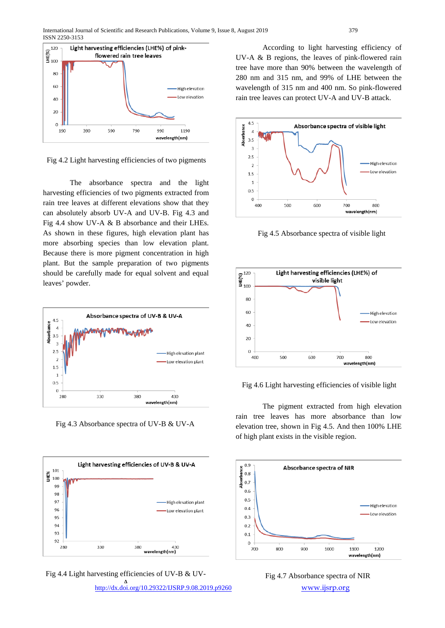

Fig 4.2 Light harvesting efficiencies of two pigments

The absorbance spectra and the light harvesting efficiencies of two pigments extracted from rain tree leaves at different elevations show that they can absolutely absorb UV-A and UV-B. Fig 4.3 and Fig 4.4 show UV-A & B absorbance and their LHEs. As shown in these figures, high elevation plant has more absorbing species than low elevation plant. Because there is more pigment concentration in high plant. But the sample preparation of two pigments should be carefully made for equal solvent and equal leaves' powder.



Fig 4.3 Absorbance spectra of UV-B & UV-A





<http://dx.doi.org/10.29322/IJSRP.9.08.2019.p9260>[www.ijsrp.org](http://ijsrp.org/) A

According to light harvesting efficiency of UV-A & B regions, the leaves of pink-flowered rain tree have more than 90% between the wavelength of 280 nm and 315 nm, and 99% of LHE between the wavelength of 315 nm and 400 nm. So pink-flowered rain tree leaves can protect UV-A and UV-B attack.



Fig 4.5 Absorbance spectra of visible light



Fig 4.6 Light harvesting efficiencies of visible light

The pigment extracted from high elevation rain tree leaves has more absorbance than low elevation tree, shown in Fig 4.5. And then 100% LHE of high plant exists in the visible region.



Fig 4.7 Absorbance spectra of NIR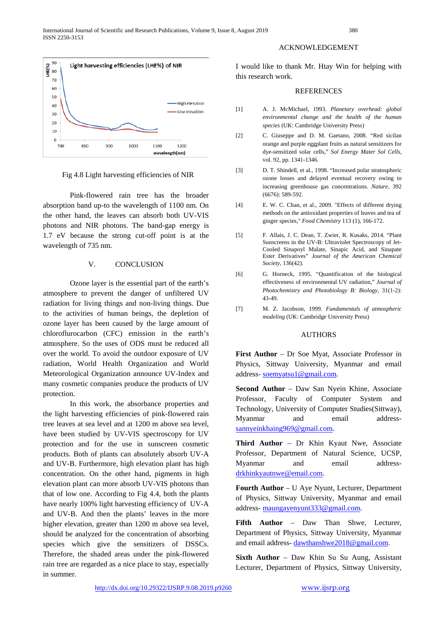

Fig 4.8 Light harvesting efficiencies of NIR

Pink-flowered rain tree has the broader absorption band up-to the wavelength of 1100 nm. On the other hand, the leaves can absorb both UV-VIS photons and NIR photons. The band-gap energy is 1.7 eV because the strong cut-off point is at the wavelength of 735 nm.

#### V. CONCLUSION

Ozone layer is the essential part of the earth's atmosphere to prevent the danger of unfiltered UV radiation for living things and non-living things. Due to the activities of human beings, the depletion of ozone layer has been caused by the large amount of chloroflurocarbon (CFC) emission in the earth's atmosphere. So the uses of ODS must be reduced all over the world. To avoid the outdoor exposure of UV radiation, World Health Organization and World Meteorological Organization announce UV-Index and many cosmetic companies produce the products of UV protection.

In this work, the absorbance properties and the light harvesting efficiencies of pink-flowered rain tree leaves at sea level and at 1200 m above sea level, have been studied by UV-VIS spectroscopy for UV protection and for the use in sunscreen cosmetic products. Both of plants can absolutely absorb UV-A and UV-B. Furthermore, high elevation plant has high concentration. On the other hand, pigments in high elevation plant can more absorb UV-VIS photons than that of low one. According to Fig 4.4, both the plants have nearly 100% light harvesting efficiency of UV-A and UV-B. And then the plants' leaves in the more higher elevation, greater than 1200 m above sea level, should be analyzed for the concentration of absorbing species which give the sensitizers of DSSCs. Therefore, the shaded areas under the pink-flowered rain tree are regarded as a nice place to stay, especially in summer.

#### ACKNOWLEDGEMENT

I would like to thank Mr. Htay Win for helping with this research work.

#### **REFERENCES**

- [1] A. J. McMichael, 1993. *Planetary overhead: global environmental change and the health of the human species* (UK: Cambridge University Press)
- [2] C. Giuseppe and D. M. Gaetano, 2008. "Red sicilan orange and purple eggplant fruits as natural sensitizers for dye-sensitized solar cells," *Sol Energy Mater Sol Cells,*  vol. 92, pp. 1341-1346.
- [3] D. T. Shindell, et al., 1998. "Increased polar stratospheric ozone losses and delayed eventual recovery owing to increasing greenhouse gas concentrations. *Nature,* 392 (6676): 589-592.
- [4] E. W. C. Chan, et al., 2009. "Effects of different drying methods on the antioxidant properties of leaves and tea of ginger species," *Food Chemistry* 113 (1), 166-172.
- [5] F. Allais, J. C. Dean, T. Zwier, R. Kusaks, 2014. "Plant Sunscreens in the UV-B: Ultraviolet Spectroscopy of Jet-Cooled Sinapoyl Malate, Sinapic Acid, and Sinapate Ester Derivatives" *[Journal of the American Chemical](https://www.researchgate.net/journal/1520-5126_Journal_of_the_American_Chemical_Society)  [Society,](https://www.researchgate.net/journal/1520-5126_Journal_of_the_American_Chemical_Society)* 136(42).
- [6] G. Horneck, 1995. "Quantification of the biological effectiveness of environmental UV radiation," *Journal of Photochemistry and Photobiology B: Biology*, 31(1-2): 43-49.
- [7] M. Z. Jacobson, 1999. *Fundamentals of atmospheric modeling* (UK: Cambridge University Press)

#### AUTHORS

**First Author** – Dr Soe Myat, Associate Professor in Physics, Sittway University, Myanmar and email address- [soemyatsu1@gmail.com.](mailto:soemyatsu1@gmail.com)

**Second Author** – Daw San Nyein Khine, Associate Professor, Faculty of Computer System and Technology, University of Computer Studies(Sittway), Myanmar and email address[sannyeinkhaing969@gmail.com.](mailto:sannyeinkhaing969@gmail.com)

**Third Author** – Dr Khin Kyaut Nwe, Associate Professor, Department of Natural Science, UCSP, Myanmar and email address[drkhinkyautnwe@email.com.](mailto:drkhinkyautnwe@email.com)

**Fourth Author** – U Aye Nyunt, Lecturer, Department of Physics, Sittway University, Myanmar and email address- [maungayenyunt333@gmail.com.](mailto:maungayenyunt333@gmail.com)

**Fifth Author** – Daw Than Shwe, Lecturer, Department of Physics, Sittway University, Myanmar and email address- [dawthanshwe2018@gmail.com.](mailto:dawthanshwe2018@gmail.com)

**Sixth Author** – Daw Khin Su Su Aung, Assistant Lecturer, Department of Physics, Sittway University,